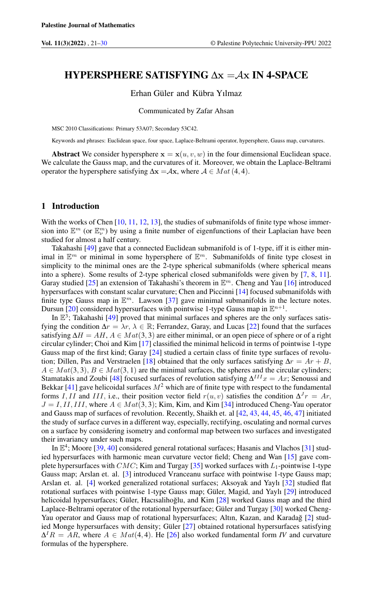# HYPERSPHERE SATISFYING  $\Delta x = Ax$  IN 4-SPACE

## Erhan Güler and Kübra Yılmaz

### Communicated by Zafar Ahsan

MSC 2010 Classifications: Primary 53A07; Secondary 53C42.

Keywords and phrases: Euclidean space, four space, Laplace-Beltrami operator, hypersphere, Gauss map, curvatures.

Abstract We consider hypersphere  $x = x(u, v, w)$  in the four dimensional Euclidean space. We calculate the Gauss map, and the curvatures of it. Moreover, we obtain the Laplace-Beltrami operator the hypersphere satisfying  $\Delta x = Ax$ , where  $A \in Mat(4, 4)$ .

#### 1 Introduction

With the works of Chen [\[10,](#page-8-0) [11,](#page-8-1) [12,](#page-8-2) [13\]](#page-8-3), the studies of submanifolds of finite type whose immersion into  $\mathbb{E}^m$  (or  $\mathbb{E}^m_\nu$ ) by using a finite number of eigenfunctions of their Laplacian have been studied for almost a half century.

Takahashi [\[49\]](#page-9-0) gave that a connected Euclidean submanifold is of 1-type, iff it is either minimal in  $\mathbb{E}^m$  or minimal in some hypersphere of  $\mathbb{E}^m$ . Submanifolds of finite type closest in simplicity to the minimal ones are the 2-type spherical submanifolds (where spherical means into a sphere). Some results of 2-type spherical closed submanifolds were given by [\[7,](#page-8-4) [8,](#page-8-5) [11\]](#page-8-1). Garay studied [\[25\]](#page-8-6) an extension of Takahashi's theorem in  $\mathbb{E}^m$ . Cheng and Yau [\[16\]](#page-8-7) introduced hypersurfaces with constant scalar curvature; Chen and Piccinni [\[14\]](#page-8-8) focused submanifolds with finite type Gauss map in  $\mathbb{E}^m$ . Lawson [\[37\]](#page-9-1) gave minimal submanifolds in the lecture notes. Dursun [\[20\]](#page-8-9) considered hypersurfaces with pointwise 1-type Gauss map in  $\mathbb{E}^{n+1}$ .

In  $\mathbb{E}^3$ ; Takahashi [\[49\]](#page-9-0) proved that minimal surfaces and spheres are the only surfaces satisfying the condition  $\Delta r = \lambda r$ ,  $\lambda \in \mathbb{R}$ ; Ferrandez, Garay, and Lucas [\[22\]](#page-8-10) found that the surfaces satisfying  $\Delta H = AH$ ,  $A \in Mat(3, 3)$  are either minimal, or an open piece of sphere or of a right circular cylinder; Choi and Kim [\[17\]](#page-8-11) classified the minimal helicoid in terms of pointwise 1-type Gauss map of the first kind; Garay [\[24\]](#page-8-12) studied a certain class of finite type surfaces of revolu-tion; Dillen, Pas and Verstraelen [\[18\]](#page-8-13) obtained that the only surfaces satisfying  $\Delta r = Ar + B$ ,  $A \in Mat(3, 3), B \in Mat(3, 1)$  are the minimal surfaces, the spheres and the circular cylinders; Stamatakis and Zoubi [\[48\]](#page-9-2) focused surfaces of revolution satisfying  $\Delta^{III}x = Ax$ ; Senoussi and Bekkar [\[41\]](#page-9-3) gave helicoidal surfaces  $M^2$  which are of finite type with respect to the fundamental forms I, II and III, i.e., their position vector field  $r(u, v)$  satisfies the condition  $\Delta^{J} r = Ar$ ,  $J = I, II, III$ , where  $A \in Mat(3, 3)$ ; Kim, Kim, and Kim [\[34\]](#page-9-4) introduced Cheng-Yau operator and Gauss map of surfaces of revolution. Recently, Shaikh et. al [\[42,](#page-9-5) [43,](#page-9-6) [44,](#page-9-7) [45,](#page-9-8) [46,](#page-9-9) [47\]](#page-9-10) initiated the study of surface curves in a different way, especially, rectifying, osculating and normal curves on a surface by considering isometry and conformal map between two surfaces and investigated their invariancy under such maps.

In  $\mathbb{E}^4$ ; Moore [\[39,](#page-9-11) [40\]](#page-9-12) considered general rotational surfaces; Hasanis and Vlachos [\[31\]](#page-8-14) studied hypersurfaces with harmonic mean curvature vector field; Cheng and Wan [\[15\]](#page-8-15) gave complete hypersurfaces with  $CMC$ ; Kim and Turgay [\[35\]](#page-9-13) worked surfaces with  $L_1$ -pointwise 1-type Gauss map; Arslan et. al. [\[3\]](#page-8-16) introduced Vranceanu surface with pointwise 1-type Gauss map; Arslan et. al. [\[4\]](#page-8-17) worked generalized rotational surfaces; Aksoyak and Yaylı [\[32\]](#page-8-18) studied flat rotational surfaces with pointwise 1-type Gauss map; Güler, Magid, and Yaylı [\[29\]](#page-8-19) introduced helicoidal hypersurfaces; Güler, Hacısalihoğlu, and Kim [[28\]](#page-8-20) worked Gauss map and the third Laplace-Beltrami operator of the rotational hypersurface; Güler and Turgay [\[30\]](#page-8-21) worked Cheng-Yau operator and Gauss map of rotational hypersurfaces; Altın, Kazan, and Karadağ [[2\]](#page-7-1) studied Monge hypersurfaces with density; Güler [\[27\]](#page-8-22) obtained rotational hypersurfaces satisfying  $\Delta^I R = AR$ , where  $A \in Mat(4, 4)$ . He [\[26\]](#page-8-23) also worked fundamental form *IV* and curvature formulas of the hypersphere.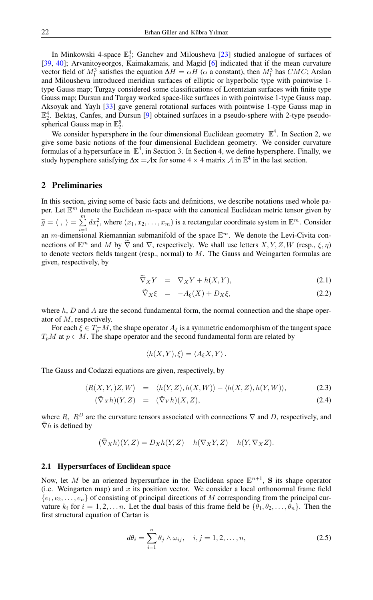In Minkowski 4-space  $\mathbb{E}_1^4$ ; Ganchev and Milousheva [\[23\]](#page-8-24) studied analogue of surfaces of [\[39,](#page-9-11) [40\]](#page-9-12); Arvanitoyeorgos, Kaimakamais, and Magid [\[6\]](#page-8-25) indicated that if the mean curvature vector field of  $M_1^3$  satisfies the equation  $\Delta H = \alpha H$  ( $\alpha$  a constant), then  $M_1^3$  has CMC; Arslan and Milousheva introduced meridian surfaces of elliptic or hyperbolic type with pointwise 1 type Gauss map; Turgay considered some classifications of Lorentzian surfaces with finite type Gauss map; Dursun and Turgay worked space-like surfaces in with pointwise 1-type Gauss map. Aksoyak and Yaylı [\[33\]](#page-8-26) gave general rotational surfaces with pointwise 1-type Gauss map in  $\mathbb{E}_2^4$ . Bektaş, Canfes, and Dursun [\[9\]](#page-8-27) obtained surfaces in a pseudo-sphere with 2-type pseudospherical Gauss map in  $\mathbb{E}_2^5$ .

We consider hypersphere in the four dimensional Euclidean geometry  $\mathbb{E}^4$ . In Section 2, we give some basic notions of the four dimensional Euclidean geometry. We consider curvature formulas of a hypersurface in  $\mathbb{E}^4$ , in Section 3. In Section 4, we define hypersphere. Finally, we study hypersphere satisfying  $\Delta x = Ax$  for some 4 × 4 matrix A in  $\mathbb{E}^4$  in the last section.

## 2 Preliminaries

In this section, giving some of basic facts and definitions, we describe notations used whole paper. Let  $\mathbb{E}^m$  denote the Euclidean m-space with the canonical Euclidean metric tensor given by  $\widetilde{g} = \langle , \rangle = \sum_{i=1}^m$  $i=1$  $dx_i^2$ , where  $(x_1, x_2, \dots, x_m)$  is a rectangular coordinate system in  $\mathbb{E}^m$ . Consider an *m*-dimensional Riemannian submanifold of the space  $\mathbb{E}^m$ . We denote the Levi-Civita connections of  $\mathbb{E}^m$  and M by  $\widetilde{\nabla}$  and  $\nabla$ , respectively. We shall use letters  $X, Y, Z, W$  (resp.,  $\xi, \eta$ ) to denote vectors fields tangent (resp., normal) to  $M$ . The Gauss and Weingarten formulas are given, respectively, by

$$
\widetilde{\nabla}_X Y = \nabla_X Y + h(X, Y), \tag{2.1}
$$

$$
\nabla_X \xi = -A_{\xi}(X) + D_X \xi, \tag{2.2}
$$

where  $h, D$  and  $A$  are the second fundamental form, the normal connection and the shape operator of M, respectively.

For each  $\xi \in T_p^{\perp}M$ , the shape operator  $A_{\xi}$  is a symmetric endomorphism of the tangent space  $T_pM$  at  $p \in M$ . The shape operator and the second fundamental form are related by

$$
\langle h(X,Y),\xi\rangle = \langle A_{\xi}X,Y\rangle.
$$

The Gauss and Codazzi equations are given, respectively, by

<span id="page-1-0"></span>
$$
\langle R(X,Y),Z,W\rangle = \langle h(Y,Z),h(X,W)\rangle - \langle h(X,Z),h(Y,W)\rangle, \tag{2.3}
$$

$$
(\bar{\nabla}_X h)(Y, Z) = (\bar{\nabla}_Y h)(X, Z), \qquad (2.4)
$$

where R,  $R^D$  are the curvature tensors associated with connections  $\nabla$  and D, respectively, and  $\nabla h$  is defined by

$$
(\bar{\nabla}_X h)(Y, Z) = D_X h(Y, Z) - h(\nabla_X Y, Z) - h(Y, \nabla_X Z).
$$

## 2.1 Hypersurfaces of Euclidean space

Now, let M be an oriented hypersurface in the Euclidean space  $\mathbb{E}^{n+1}$ , S its shape operator (i.e. Weingarten map) and  $x$  its position vector. We consider a local orthonormal frame field  $\{e_1, e_2, \ldots, e_n\}$  of consisting of principal directions of M corresponding from the principal curvature  $k_i$  for  $i = 1, 2, \ldots n$ . Let the dual basis of this frame field be  $\{\theta_1, \theta_2, \ldots, \theta_n\}$ . Then the first structural equation of Cartan is

$$
d\theta_i = \sum_{i=1}^n \theta_j \wedge \omega_{ij}, \quad i, j = 1, 2, \dots, n,
$$
\n(2.5)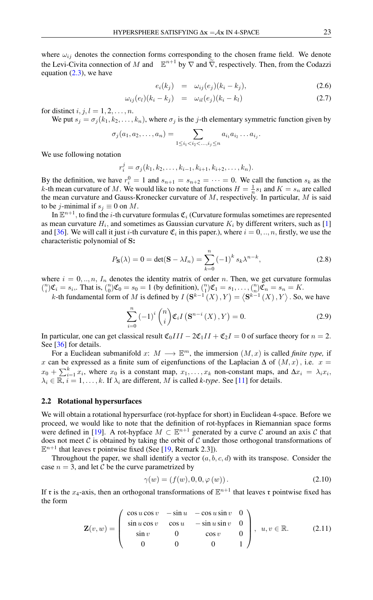where  $\omega_{ij}$  denotes the connection forms corresponding to the chosen frame field. We denote the Levi-Civita connection of M and  $\mathbb{E}^{n+1}$  by  $\nabla$  and  $\tilde{\nabla}$ , respectively. Then, from the Codazzi equation  $(2.3)$ , we have

$$
e_i(k_j) = \omega_{ij}(e_j)(k_i - k_j), \qquad (2.6)
$$

$$
\omega_{ij}(e_l)(k_i - k_j) = \omega_{il}(e_j)(k_i - k_l) \tag{2.7}
$$

for distinct i, j,  $l = 1, 2, \ldots, n$ .

We put  $s_i = \sigma_i(k_1, k_2, \dots, k_n)$ , where  $\sigma_i$  is the j-th elementary symmetric function given by

$$
\sigma_j(a_1, a_2, \ldots, a_n) = \sum_{1 \leq i_1 < i_2 < \ldots, i_j \leq n} a_{i_1} a_{i_2} \ldots a_{i_j}.
$$

We use following notation

$$
r_i^j = \sigma_j(k_1, k_2, \dots, k_{i-1}, k_{i+1}, k_{i+2}, \dots, k_n).
$$

By the definition, we have  $r_i^0 = 1$  and  $s_{n+1} = s_{n+2} = \cdots = 0$ . We call the function  $s_k$  as the k-th mean curvature of M. We would like to note that functions  $H = \frac{1}{n} s_1$  and  $K = s_n$  are called the mean curvature and Gauss-Kronecker curvature of  $M$ , respectively. In particular,  $M$  is said to be j-minimal if  $s_i \equiv 0$  on M.

In  $\mathbb{E}^{n+1}$ , to find the *i*-th curvature formulas  $\mathfrak{C}_i$  (Curvature formulas sometimes are represented as mean curvature  $H_i$ , and sometimes as Gaussian curvature  $K_i$  by different writers, such as [\[1\]](#page-7-2) and [\[36\]](#page-9-14). We will call it just *i*-th curvature  $\mathfrak{C}_i$  in this paper.), where  $i = 0, ..., n$ , firstly, we use the characteristic polynomial of S:

$$
P_{\mathbf{S}}(\lambda) = 0 = \det(\mathbf{S} - \lambda I_n) = \sum_{k=0}^{n} (-1)^k s_k \lambda^{n-k},
$$
\n(2.8)

where  $i = 0, ..., n$ ,  $I_n$  denotes the identity matrix of order n. Then, we get curvature formulas  $\binom{n}{i}\mathfrak{C}_i = s_i$ . That is,  $\binom{n}{0}\mathfrak{C}_0 = s_0 = 1$  (by definition),  $\binom{n}{1}\mathfrak{C}_1 = s_1, \ldots, \binom{n}{n}\mathfrak{C}_n = s_n = K$ .

k-th fundamental form of M is defined by  $I(S^{k-1}(X), Y) = (S^{k-1}(X), Y)$ . So, we have

$$
\sum_{i=0}^{n} \left(-1\right)^{i} \binom{n}{i} \mathfrak{C}_{i} I\left(\mathbf{S}^{n-i}\left(X\right), Y\right) = 0. \tag{2.9}
$$

In particular, one can get classical result  $\mathfrak{C}_0III - 2\mathfrak{C}_1II + \mathfrak{C}_2I = 0$  of surface theory for  $n = 2$ . See [\[36\]](#page-9-14) for details.

For a Euclidean submanifold  $x: M \longrightarrow \mathbb{E}^m$ , the immersion  $(M, x)$  is called *finite type*, if x can be expressed as a finite sum of eigenfunctions of the Laplacian  $\Delta$  of  $(M, x)$ , i.e.  $x =$  $x_0 + \sum_{i=1}^k x_i$ , where  $x_0$  is a constant map,  $x_1, \ldots, x_k$  non-constant maps, and  $\Delta x_i = \lambda_i x_i$ ,  $\lambda_i \in \mathbb{R}, i = 1, \ldots, k$ . If  $\lambda_i$  are different, M is called *k-type*. See [\[11\]](#page-8-1) for details.

#### 2.2 Rotational hypersurfaces

We will obtain a rotational hypersurface (rot-hypface for short) in Euclidean 4-space. Before we proceed, we would like to note that the definition of rot-hypfaces in Riemannian space forms were defined in [\[19\]](#page-8-28). A rot-hypface  $M \subset \mathbb{E}^{n+1}$  generated by a curve C around an axis C that does not meet  $\mathcal C$  is obtained by taking the orbit of  $\mathcal C$  under those orthogonal transformations of  $\mathbb{E}^{n+1}$  that leaves r pointwise fixed (See [\[19,](#page-8-28) Remark 2.3]).

Throughout the paper, we shall identify a vector  $(a, b, c, d)$  with its transpose. Consider the case  $n = 3$ , and let C be the curve parametrized by

$$
\gamma(w) = (f(w), 0, 0, \varphi(w)). \tag{2.10}
$$

If  $\mathfrak r$  is the  $x_4$ -axis, then an orthogonal transformations of  $\mathbb E^{n+1}$  that leaves  $\mathfrak r$  pointwise fixed has the form

<span id="page-2-0"></span>
$$
\mathbf{Z}(v,w) = \begin{pmatrix} \cos u \cos v & -\sin u & -\cos u \sin v & 0 \\ \sin u \cos v & \cos u & -\sin u \sin v & 0 \\ \sin v & 0 & \cos v & 0 \\ 0 & 0 & 0 & 1 \end{pmatrix}, u, v \in \mathbb{R}.
$$
 (2.11)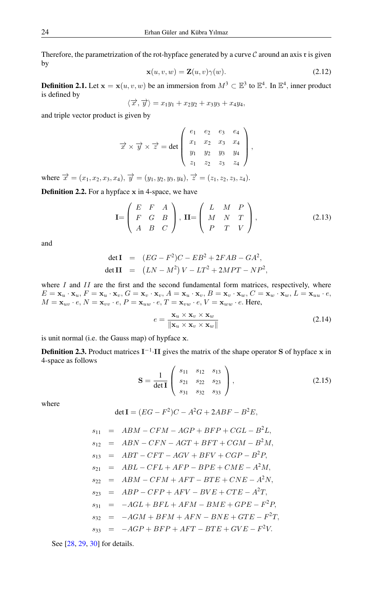Therefore, the parametrization of the rot-hypface generated by a curve  $\mathcal C$  around an axis  $\tau$  is given by

$$
\mathbf{x}(u,v,w) = \mathbf{Z}(u,v)\gamma(w). \tag{2.12}
$$

**Definition 2.1.** Let  $\mathbf{x} = \mathbf{x}(u, v, w)$  be an immersion from  $M^3 \subset \mathbb{E}^3$  to  $\mathbb{E}^4$ . In  $\mathbb{E}^4$ , inner product is defined by

$$
\langle \overrightarrow{x}, \overrightarrow{y} \rangle = x_1y_1 + x_2y_2 + x_3y_3 + x_4y_4,
$$

and triple vector product is given by

$$
\overrightarrow{x} \times \overrightarrow{y} \times \overrightarrow{z} = det \begin{pmatrix} e_1 & e_2 & e_3 & e_4 \\ x_1 & x_2 & x_3 & x_4 \\ y_1 & y_2 & y_3 & y_4 \\ z_1 & z_2 & z_3 & z_4 \end{pmatrix},
$$

where  $\vec{x} = (x_1, x_2, x_3, x_4), \vec{y} = (y_1, y_2, y_3, y_4), \vec{z} = (z_1, z_2, z_3, z_4).$ 

**Definition 2.2.** For a hypface  $x$  in 4-space, we have

$$
\mathbf{I} = \begin{pmatrix} E & F & A \\ F & G & B \\ A & B & C \end{pmatrix}, \quad \mathbf{II} = \begin{pmatrix} L & M & P \\ M & N & T \\ P & T & V \end{pmatrix},\tag{2.13}
$$

and

det I = 
$$
(EG - F^2)C - EB^2 + 2FAB - GA^2
$$
,  
det II =  $(LN - M^2) V - LT^2 + 2MPT - NP^2$ ,

where  $I$  and  $II$  are the first and the second fundamental form matrices, respectively, where  $E = \mathbf{x}_u \cdot \mathbf{x}_u, F = \mathbf{x}_u \cdot \mathbf{x}_v, G = \mathbf{x}_v \cdot \mathbf{x}_v, A = \mathbf{x}_u \cdot \mathbf{x}_v, B = \mathbf{x}_v \cdot \mathbf{x}_w, C = \mathbf{x}_w \cdot \mathbf{x}_w, L = \mathbf{x}_{uu} \cdot e,$  $M = \mathbf{x}_{uv} \cdot e, N = \mathbf{x}_{vv} \cdot e, P = \mathbf{x}_{uw} \cdot e, T = \mathbf{x}_{vw} \cdot e, V = \mathbf{x}_{ww} \cdot e$ . Here,

<span id="page-3-0"></span>
$$
e = \frac{\mathbf{x}_u \times \mathbf{x}_v \times \mathbf{x}_w}{\|\mathbf{x}_u \times \mathbf{x}_v \times \mathbf{x}_w\|}
$$
(2.14)

is unit normal (i.e. the Gauss map) of hypface x.

**Definition 2.3.** Product matrices  $I^{-1} \cdot II$  gives the matrix of the shape operator S of hypface x in 4-space as follows

<span id="page-3-1"></span>
$$
\mathbf{S} = \frac{1}{\det \mathbf{I}} \begin{pmatrix} s_{11} & s_{12} & s_{13} \\ s_{21} & s_{22} & s_{23} \\ s_{31} & s_{32} & s_{33} \end{pmatrix}, \tag{2.15}
$$

where

$$
\det \mathbf{I} = (EG - F^2)C - A^2G + 2ABF - B^2E,
$$

$$
s_{11} = ABM - CFM - AGP + BFP + CGL - B2L,
$$
  
\n
$$
s_{12} = ABN - CFN - AGT + BFT + CGM - B2M,
$$
  
\n
$$
s_{13} = ABT - CFT - AGV + BFV + CGP - B2P,
$$
  
\n
$$
s_{21} = ABL - CFL + AFP - BPE + CME - A2M,
$$
  
\n
$$
s_{22} = ABM - CFM + AFT - BTE + CNE - A2N,
$$
  
\n
$$
s_{23} = ABP - CFP + AFV - BVE + CTE - A2T,
$$
  
\n
$$
s_{31} = -AGL + BFL + AFM - BME + GPE - F2P,
$$
  
\n
$$
s_{32} = -AGM + BFM + AFN - BNE + GTE - F2T,
$$
  
\n
$$
s_{33} = -AGP + BFP + AFT - BTE + GVE - F2V.
$$

See [\[28,](#page-8-20) [29,](#page-8-19) [30\]](#page-8-21) for details.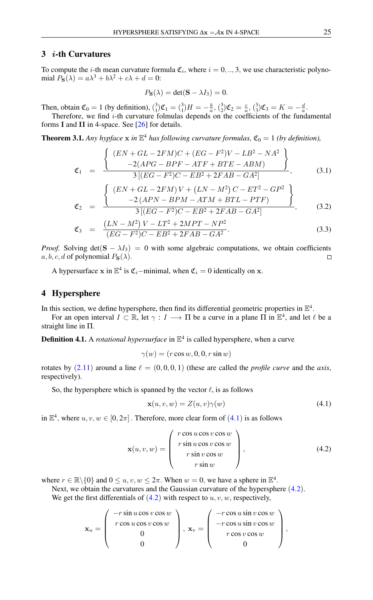## 3 i-th Curvatures

To compute the *i*-th mean curvature formula  $\mathfrak{C}_i$ , where  $i = 0, ..., 3$ , we use characteristic polynomial  $P_S(\lambda) = a\lambda^3 + b\lambda^2 + c\lambda + d = 0$ :

$$
P_{\mathbf{S}}(\lambda) = \det(\mathbf{S} - \lambda I_3) = 0.
$$

Then, obtain  $\mathfrak{C}_0 = 1$  (by definition),  $\binom{3}{1}\mathfrak{C}_1 = \binom{3}{1}H = -\frac{b}{a}, \binom{3}{2}\mathfrak{C}_2 = \frac{c}{a}, \binom{3}{3}\mathfrak{C}_3 = K = -\frac{d}{a}$ .

Therefore, we find  $i$ -th curvature folmulas depends on the coefficients of the fundamental forms I and II in 4-space. See [\[26\]](#page-8-23) for details.

**Theorem 3.1.** Any hypface  $x$  in  $\mathbb{E}^4$  has following curvature formulas,  $\mathfrak{C}_0 = 1$  (by definition),

<span id="page-4-2"></span>
$$
\mathfrak{C}_1 = \frac{\left\{ \begin{array}{l} (EN+GL-2FM)C + (EG-F^2)V - LB^2 - NA^2\\ -2(APG-BPF-ATF + BTE - ABM) \end{array} \right\}}{3[(EG-F^2)C - EB^2 + 2FAB - GA^2]},
$$
(3.1)

$$
\mathfrak{C}_2 = \frac{\left\{ \begin{array}{c} (EN + GL - 2FM)V + (LN - M^2)C - ET^2 - GP^2 \\ -2(APN - BPM - ATM + BTL - PTF) \end{array} \right\}}{3[(EG - F^2)C - EB^2 + 2FAB - GA^2]},
$$
(3.2)

$$
\mathfrak{C}_3 = \frac{(LN - M^2)V - LT^2 + 2MPT - NP^2}{(EG - F^2)C - EB^2 + 2FAB - GA^2}.
$$
\n(3.3)

*Proof.* Solving  $det(\mathbf{S} - \lambda I_3) = 0$  with some algebraic computations, we obtain coefficients a, b, c, d of polynomial  $P_{\mathbf{S}}(\lambda)$ .  $\Box$ 

A hypersurface x in  $\mathbb{E}^4$  is  $\mathfrak{C}_i$ -minimal, when  $\mathfrak{C}_i = 0$  identically on x.

## 4 Hypersphere

In this section, we define hypersphere, then find its differential geometric properties in  $\mathbb{E}^4$ .

For an open interval  $I \subset \mathbb{R}$ , let  $\gamma : I \longrightarrow \Pi$  be a curve in a plane  $\Pi$  in  $\mathbb{E}^4$ , and let  $\ell$  be a straight line in Π.

**Definition 4.1.** A *rotational hypersurface* in  $\mathbb{E}^4$  is called hypersphere, when a curve

$$
\gamma(w) = (r\cos w, 0, 0, r\sin w)
$$

rotates by  $(2.11)$  $(2.11)$  $(2.11)$  around a line  $\ell = (0, 0, 0, 1)$  (these are called the *profile curve* and the *axis*, respectively).

So, the hypersphere which is spanned by the vector  $\ell$ , is as follows

<span id="page-4-1"></span><span id="page-4-0"></span>
$$
\mathbf{x}(u, v, w) = Z(u, v)\gamma(w) \tag{4.1}
$$

in  $\mathbb{E}^4$  $\mathbb{E}^4$ , where  $u, v, w \in [0, 2\pi]$ . Therefore, more clear form of  $(4.1)$  is as follows

$$
\mathbf{x}(u, v, w) = \begin{pmatrix} r \cos u \cos v \cos w \\ r \sin u \cos v \cos w \\ r \sin v \cos w \\ r \sin w \end{pmatrix}, \qquad (4.2)
$$

where  $r \in \mathbb{R} \setminus \{0\}$  and  $0 \le u, v, w \le 2\pi$ . When  $w = 0$ , we have a sphere in  $\mathbb{E}^4$ .

Next, we obtain the curvatures and the Gaussian curvature of the hypersphere  $(4.2)$  $(4.2)$  $(4.2)$ .

We get the first differentials of  $(4.2)$  $(4.2)$  $(4.2)$  with respect to u, v, w, respectively,

$$
\mathbf{x}_u = \left(\begin{array}{c} -r\sin u \cos v \cos w \\ r\cos u \cos v \cos w \\ 0 \\ 0 \end{array}\right), \ \mathbf{x}_v = \left(\begin{array}{c} -r\cos u \sin v \cos w \\ -r\cos u \sin v \cos w \\ r\cos v \cos w \\ 0 \end{array}\right),
$$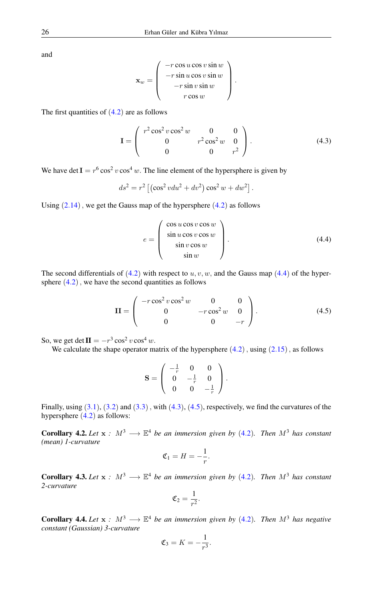and

$$
\mathbf{x}_w = \left(\begin{array}{c} -r\cos u\cos v\sin w\\ -r\sin u\cos v\sin w\\ -r\sin v\sin w\\ r\cos w\end{array}\right).
$$

The first quantities of  $(4.2)$  $(4.2)$  $(4.2)$  are as follows

<span id="page-5-1"></span>
$$
\mathbf{I} = \begin{pmatrix} r^2 \cos^2 v \cos^2 w & 0 & 0 \\ 0 & r^2 \cos^2 w & 0 \\ 0 & 0 & r^2 \end{pmatrix}.
$$
 (4.3)

We have det  $I = r^6 \cos^2 v \cos^4 w$ . The line element of the hypersphere is given by

$$
ds^{2} = r^{2} \left[ \left( \cos^{2} v du^{2} + dv^{2} \right) \cos^{2} w + dw^{2} \right].
$$

Using  $(2.14)$  $(2.14)$  $(2.14)$ , we get the Gauss map of the hypersphere  $(4.2)$  $(4.2)$  $(4.2)$  as follows

<span id="page-5-2"></span><span id="page-5-0"></span>
$$
e = \begin{pmatrix} \cos u \cos v \cos w \\ \sin u \cos v \cos w \\ \sin v \cos w \\ \sin w \end{pmatrix}.
$$
 (4.4)

The second differentials of  $(4.2)$  $(4.2)$  $(4.2)$  with respect to  $u, v, w$ , and the Gauss map  $(4.4)$  of the hypersphere  $(4.2)$  $(4.2)$  $(4.2)$ , we have the second quantities as follows

$$
\mathbf{II} = \begin{pmatrix} -r\cos^2 v \cos^2 w & 0 & 0\\ 0 & -r\cos^2 w & 0\\ 0 & 0 & -r \end{pmatrix}.
$$
 (4.5)

So, we get det  $\mathbf{II} = -r^3 \cos^2 v \cos^4 w$ .

We calculate the shape operator matrix of the hypersphere  $(4.2)$  $(4.2)$  $(4.2)$ , using  $(2.15)$  $(2.15)$  $(2.15)$ , as follows

$$
\mathbf{S} = \left( \begin{array}{ccc} -\frac{1}{r} & 0 & 0 \\ 0 & -\frac{1}{r} & 0 \\ 0 & 0 & -\frac{1}{r} \end{array} \right).
$$

Finally, using  $(3.1)$  $(3.1)$  $(3.1)$ ,  $(3.2)$  and  $(3.3)$ , with  $(4.3)$  $(4.3)$  $(4.3)$ ,  $(4.5)$ , respectively, we find the curvatures of the hypersphere  $(4.2)$  $(4.2)$  $(4.2)$  as follows:

**Corollary [4](#page-4-1).2.** Let  $x : M^3 \longrightarrow \mathbb{E}^4$  be an immersion given by (4.2). Then  $M^3$  has constant *(mean) 1-curvature*

$$
\mathfrak{C}_1 = H = -\frac{1}{r}.
$$

**Corollary [4](#page-4-1).3.** Let  $x : M^3 \longrightarrow \mathbb{E}^4$  be an immersion given by (4.2). Then  $M^3$  has constant *2-curvature*

$$
\mathfrak{C}_2 = \frac{1}{r^2}.
$$

**Corollary [4](#page-4-1).4.** Let  $x : M^3 \longrightarrow \mathbb{E}^4$  be an immersion given by (4.2). Then  $M^3$  has negative *constant (Gaussian) 3-curvature*

$$
\mathfrak{C}_3 = K = -\frac{1}{r^3}.
$$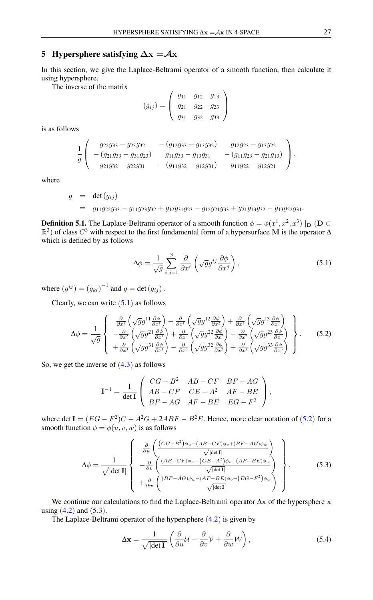# 5 Hypersphere satisfying  $\Delta x = Ax$

In this section, we give the Laplace-Beltrami operator of a smooth function, then calculate it using hypersphere.

The inverse of the matrix

$$
(g_{ij}) = \begin{pmatrix} g_{11} & g_{12} & g_{13} \\ g_{21} & g_{22} & g_{23} \\ g_{31} & g_{32} & g_{33} \end{pmatrix}
$$

is as follows

$$
\frac{1}{g}\left(\begin{array}{ccc}g_{22}g_{33}-g_{23}g_{32} & -(g_{12}g_{33}-g_{13}g_{32}) & g_{12}g_{23}-g_{13}g_{22} \\ -(g_{21}g_{33}-g_{31}g_{23}) & g_{11}g_{33}-g_{13}g_{31} & -(g_{11}g_{23}-g_{21}g_{13}) \\ g_{21}g_{32}-g_{22}g_{31} & -(g_{11}g_{32}-g_{12}g_{31}) & g_{11}g_{22}-g_{12}g_{21}\end{array}\right),
$$

where

$$
g = \det(g_{ij})
$$
  
=  $g_{11}g_{22}g_{33} - g_{11}g_{23}g_{32} + g_{12}g_{31}g_{23} - g_{12}g_{21}g_{33} + g_{21}g_{13}g_{32} - g_{13}g_{22}g_{31}.$ 

**Definition 5.1.** The Laplace-Beltrami operator of a smooth function  $\phi = \phi(x^1, x^2, x^3) \mid_{\mathbf{D}} (\mathbf{D} \subset$  $\mathbb{R}^3$ ) of class  $C^3$  with respect to the first fundamental form of a hypersurface M is the operator  $\Delta$ which is defined by as follows

<span id="page-6-1"></span><span id="page-6-0"></span>
$$
\Delta \phi = \frac{1}{\sqrt{g}} \sum_{i,j=1}^{3} \frac{\partial}{\partial x^{i}} \left( \sqrt{g} g^{ij} \frac{\partial \phi}{\partial x^{j}} \right), \qquad (5.1)
$$

where  $(g^{ij}) = (g_{kl})^{-1}$  and  $g = \det(g_{ij})$ .

Clearly, we can write  $(5.1)$  $(5.1)$  $(5.1)$  as follows

$$
\Delta\phi = \frac{1}{\sqrt{g}} \begin{Bmatrix} \frac{\partial}{\partial x^1} \left( \sqrt{g} g^{11} \frac{\partial \phi}{\partial x^1} \right) - \frac{\partial}{\partial x^1} \left( \sqrt{g} g^{12} \frac{\partial \phi}{\partial x^2} \right) + \frac{\partial}{\partial x^1} \left( \sqrt{g} g^{13} \frac{\partial \phi}{\partial x^3} \right) \\ - \frac{\partial}{\partial x^2} \left( \sqrt{g} g^{21} \frac{\partial \phi}{\partial x^1} \right) + \frac{\partial}{\partial x^2} \left( \sqrt{g} g^{22} \frac{\partial \phi}{\partial x^2} \right) - \frac{\partial}{\partial x^2} \left( \sqrt{g} g^{23} \frac{\partial \phi}{\partial x^3} \right) \\ + \frac{\partial}{\partial x^3} \left( \sqrt{g} g^{31} \frac{\partial \phi}{\partial x^1} \right) - \frac{\partial}{\partial x^3} \left( \sqrt{g} g^{32} \frac{\partial \phi}{\partial x^2} \right) + \frac{\partial}{\partial x^3} \left( \sqrt{g} g^{33} \frac{\partial \phi}{\partial x^3} \right) \end{Bmatrix} . \tag{5.2}
$$

So, we get the inverse of  $(4.3)$  $(4.3)$  $(4.3)$  as follows

<span id="page-6-2"></span>
$$
\mathbf{I}^{-1} = \frac{1}{\det \mathbf{I}} \begin{pmatrix} CG - B^2 & AB - CF & BF - AG \\ AB - CF & CE - A^2 & AF - BE \\ BF - AG & AF - BE & EG - F^2 \end{pmatrix},
$$

where det  $I = (EG - F^2)C - A^2G + 2ABF - B^2E$ . Hence, more clear notation of ([5](#page-6-1).2) for a smooth function  $\phi = \phi(u, v, w)$  is as follows

$$
\Delta \phi = \frac{1}{\sqrt{|\det \mathbf{I}|}} \begin{Bmatrix} \frac{\partial}{\partial u} \left( \frac{(CG - B^2)\phi_u - (AB - CF)\phi_v + (BF - AG)\phi_w}{\sqrt{|\det \mathbf{I}|}} \right) \\ -\frac{\partial}{\partial v} \left( \frac{(AB - CF)\phi_u - (CE - A^2)\phi_v + (AF - BE)\phi_w}{\sqrt{|\det \mathbf{I}|}} \right) \\ +\frac{\partial}{\partial w} \left( \frac{(BF - AG)\phi_u - (AF - BE)\phi_v + (EG - F^2)\phi_w}{\sqrt{|\det \mathbf{I}|}} \right) \end{Bmatrix} . \tag{5.3}
$$

We continue our calculations to find the Laplace-Beltrami operator ∆x of the hypersphere x using  $(4.2)$  $(4.2)$  $(4.2)$  and  $(5.3)$  $(5.3)$  $(5.3)$ .

The Laplace-Beltrami operator of the hypersphere ([4](#page-4-1).2) is given by

<span id="page-6-3"></span>
$$
\Delta \mathbf{x} = \frac{1}{\sqrt{|\det \mathbf{I}|}} \left( \frac{\partial}{\partial u} \mathcal{U} - \frac{\partial}{\partial v} \mathcal{V} + \frac{\partial}{\partial w} \mathcal{W} \right),\tag{5.4}
$$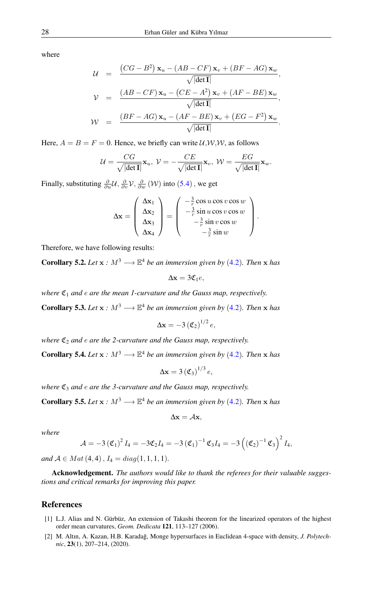where

$$
\mathcal{U} = \frac{(CG - B^2) \mathbf{x}_u - (AB - CF) \mathbf{x}_v + (BF - AG) \mathbf{x}_w}{\sqrt{|\det \mathbf{I}|}},
$$
\n
$$
\mathcal{V} = \frac{(AB - CF) \mathbf{x}_u - (CE - A^2) \mathbf{x}_v + (AF - BE) \mathbf{x}_w}{\sqrt{|\det \mathbf{I}|}},
$$
\n
$$
\mathcal{W} = \frac{(BF - AG) \mathbf{x}_u - (AF - BE) \mathbf{x}_v + (EG - F^2) \mathbf{x}_w}{\sqrt{|\det \mathbf{I}|}}.
$$

Here,  $A = B = F = 0$ . Hence, we briefly can write  $U, W, W$ , as follows

$$
\mathcal{U}=\frac{CG}{\sqrt{|\text{det }\textbf{I}|}}\textbf{x}_u, \; \mathcal{V}=-\frac{CE}{\sqrt{|\text{det }\textbf{I}|}}\textbf{x}_v, \; \mathcal{W}=\frac{EG}{\sqrt{|\text{det }\textbf{I}|}}\textbf{x}_w.
$$

Finally, substituting  $\frac{\partial}{\partial u}\mathcal{U}, \frac{\partial}{\partial v}\mathcal{V}, \frac{\partial}{\partial w}(\mathcal{W})$  into  $(5.4)$  $(5.4)$  $(5.4)$ , we get

$$
\Delta \mathbf{x} = \begin{pmatrix} \Delta \mathbf{x}_1 \\ \Delta \mathbf{x}_2 \\ \Delta \mathbf{x}_3 \\ \Delta \mathbf{x}_4 \end{pmatrix} = \begin{pmatrix} -\frac{3}{r} \cos u \cos v \cos w \\ -\frac{3}{r} \sin u \cos v \cos w \\ -\frac{3}{r} \sin v \cos w \\ -\frac{3}{r} \sin w \end{pmatrix}
$$

.

Therefore, we have following results:

**Corollary 5.2.** *Let*  $x : M^3 \longrightarrow \mathbb{E}^4$  $x : M^3 \longrightarrow \mathbb{E}^4$  *be an immersion given by* (4.2)*. Then*  $x$  *has* 

$$
\Delta x = 3\mathfrak{C}_1 e,
$$

*where*  $\mathfrak{C}_1$  *and e are the mean 1-curvature and the Gauss map, respectively.* 

**Corollary 5.3.** *Let*  $x : M^3 \longrightarrow \mathbb{E}^4$  $x : M^3 \longrightarrow \mathbb{E}^4$  *be an immersion given by* (4.2)*. Then* x *has* 

$$
\Delta \mathbf{x} = -3 \left( \mathfrak{C}_2 \right)^{1/2} e,
$$

*where*  $\mathfrak{C}_2$  *and e are the* 2-*curvature and the Gauss map, respectively.* 

**Corollary 5.[4](#page-4-1).** *Let*  $x : M^3 \longrightarrow \mathbb{E}^4$  *be an immersion given by* (4.2)*. Then* x *has* 

$$
\Delta \mathbf{x} = 3 \left( \mathfrak{C}_3 \right)^{1/3} e,
$$

*where*  $\mathfrak{C}_3$  *and e are the* 3-*curvature and the Gauss map, respectively.* 

**Corollary 5.5.** *Let*  $x : M^3 \longrightarrow \mathbb{E}^4$  $x : M^3 \longrightarrow \mathbb{E}^4$  *be an immersion given by* (4.2)*. Then* x *has* 

$$
\Delta \mathbf{x} = \mathcal{A}\mathbf{x},
$$

*where*

$$
\mathcal{A} = -3\left(\mathfrak{C}_1\right)^2 I_4 = -3\mathfrak{C}_2 I_4 = -3\left(\mathfrak{C}_1\right)^{-1}\mathfrak{C}_3 I_4 = -3\left(\left(\mathfrak{C}_2\right)^{-1}\mathfrak{C}_3\right)^2 I_4,
$$

*and*  $A \in Mat(4, 4)$ ,  $I_4 = diag(1, 1, 1, 1)$ .

Acknowledgement. *The authors would like to thank the referees for their valuable suggestions and critical remarks for improving this paper.*

# <span id="page-7-0"></span>References

- <span id="page-7-2"></span>[1] L.J. Alias and N. Gürbüz, An extension of Takashi theorem for the linearized operators of the highest order mean curvatures, *Geom. Dedicata* 121, 113–127 (2006).
- <span id="page-7-1"></span>[2] M. Altın, A. Kazan, H.B. Karadağ, Monge hypersurfaces in Euclidean 4-space with density, *J. Polytechnic*, 23(1), 207–214, (2020).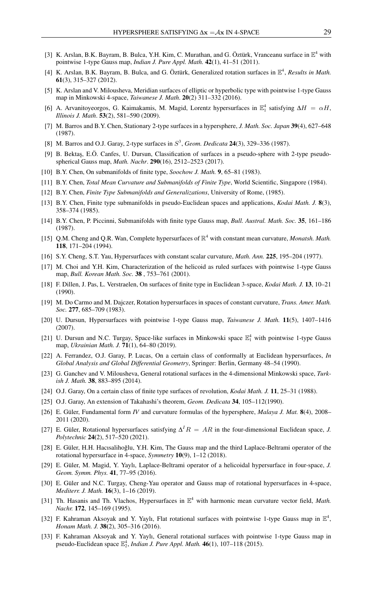- <span id="page-8-16"></span>[3] K. Arslan, B.K. Bayram, B. Bulca, Y.H. Kim, C. Murathan, and G. Öztürk, Vranceanu surface in  $\mathbb{E}^4$  with pointwise 1-type Gauss map, *Indian J. Pure Appl. Math.* 42(1), 41–51 (2011).
- <span id="page-8-17"></span>[4] K. Arslan, B.K. Bayram, B. Bulca, and G. Öztürk, Generalized rotation surfaces in E 4 , *Results in Math.* 61(3), 315–327 (2012).
- [5] K. Arslan and V. Milousheva, Meridian surfaces of elliptic or hyperbolic type with pointwise 1-type Gauss map in Minkowski 4-space, *Taiwanese J. Math*. 20(2) 311–332 (2016).
- <span id="page-8-25"></span>[6] A. Arvanitoyeorgos, G. Kaimakamis, M. Magid, Lorentz hypersurfaces in  $\mathbb{E}_1^4$  satisfying  $\Delta H = \alpha H$ , *Illinois J. Math*. 53(2), 581–590 (2009).
- <span id="page-8-4"></span>[7] M. Barros and B.Y. Chen, Stationary 2-type surfaces in a hypersphere, *J. Math. Soc. Japan* 39(4), 627–648 (1987).
- <span id="page-8-5"></span>[8] M. Barros and O.J. Garay, 2-type surfaces in S 3 , *Geom. Dedicata* 24(3), 329–336 (1987).
- <span id="page-8-27"></span>[9] B. Bektaş, E.Ö. Canfes, U. Dursun, Classification of surfaces in a pseudo-sphere with 2-type pseudospherical Gauss map, *Math. Nachr*. 290(16), 2512–2523 (2017).
- <span id="page-8-0"></span>[10] B.Y. Chen, On submanifolds of finite type, *Soochow J. Math.* 9, 65–81 (1983).
- <span id="page-8-1"></span>[11] B.Y. Chen, *Total Mean Curvature and Submanifolds of Finite Type*, World Scientific, Singapore (1984).
- <span id="page-8-2"></span>[12] B.Y. Chen, *Finite Type Submanifolds and Generalizations*, University of Rome, (1985).
- <span id="page-8-3"></span>[13] B.Y. Chen, Finite type submanifolds in pseudo-Euclidean spaces and applications, *Kodai Math. J.* 8(3), 358–374 (1985).
- <span id="page-8-8"></span>[14] B.Y. Chen, P. Piccinni, Submanifolds with finite type Gauss map, *Bull. Austral. Math. Soc.* 35, 161–186 (1987).
- <span id="page-8-15"></span>[15] Q.M. Cheng and Q.R. Wan, Complete hypersurfaces of R <sup>4</sup> with constant mean curvature, *Monatsh. Math.* 118, 171–204 (1994).
- <span id="page-8-7"></span>[16] S.Y. Cheng, S.T. Yau, Hypersurfaces with constant scalar curvature, *Math. Ann.* 225, 195–204 (1977).
- <span id="page-8-11"></span>[17] M. Choi and Y.H. Kim, Characterization of the helicoid as ruled surfaces with pointwise 1-type Gauss map, *Bull. Korean Math. Soc.* 38 , 753–761 (2001).
- <span id="page-8-13"></span>[18] F. Dillen, J. Pas, L. Verstraelen, On surfaces of finite type in Euclidean 3-space, *Kodai Math. J.* 13, 10–21 (1990).
- <span id="page-8-28"></span>[19] M. Do Carmo and M. Dajczer, Rotation hypersurfaces in spaces of constant curvature, *Trans. Amer. Math. Soc.* 277, 685–709 (1983).
- <span id="page-8-9"></span>[20] U. Dursun, Hypersurfaces with pointwise 1-type Gauss map, *Taiwanese J. Math.* 11(5), 1407–1416 (2007).
- [21] U. Dursun and N.C. Turgay, Space-like surfaces in Minkowski space  $\mathbb{E}_1^4$  with pointwise 1-type Gauss map, *Ukrainian Math. J.* 71(1), 64–80 (2019).
- <span id="page-8-10"></span>[22] A. Ferrandez, O.J. Garay, P. Lucas, On a certain class of conformally at Euclidean hypersurfaces, *In Global Analysis and Global Differential Geometry*, Springer: Berlin, Germany 48–54 (1990).
- <span id="page-8-24"></span>[23] G. Ganchev and V. Milousheva, General rotational surfaces in the 4-dimensional Minkowski space, *Turkish J. Math.* 38, 883–895 (2014).
- <span id="page-8-12"></span>[24] O.J. Garay, On a certain class of finite type surfaces of revolution, *Kodai Math. J.* 11, 25–31 (1988).
- <span id="page-8-6"></span>[25] O.J. Garay, An extension of Takahashi's theorem, *Geom. Dedicata* 34, 105–112(1990).
- <span id="page-8-23"></span>[26] E. Güler, Fundamental form *IV* and curvature formulas of the hypersphere, *Malaya J. Mat.* 8(4), 2008– 2011 (2020).
- <span id="page-8-22"></span>[27] E. Güler, Rotational hypersurfaces satisfying  $\Delta^I R = AR$  in the four-dimensional Euclidean space, *J. Polytechnic* 24(2), 517–520 (2021).
- <span id="page-8-20"></span>[28] E. Güler, H.H. Hacısalihoğlu, Y.H. Kim, The Gauss map and the third Laplace-Beltrami operator of the rotational hypersurface in 4-space, *Symmetry* 10(9), 1–12 (2018).
- <span id="page-8-19"></span>[29] E. Güler, M. Magid, Y. Yaylı, Laplace-Beltrami operator of a helicoidal hypersurface in four-space, *J. Geom. Symm. Phys.* 41, 77–95 (2016).
- <span id="page-8-21"></span>[30] E. Güler and N.C. Turgay, Cheng-Yau operator and Gauss map of rotational hypersurfaces in 4-space, *Mediterr. J. Math.* 16(3), 1–16 (2019).
- <span id="page-8-14"></span>[31] Th. Hasanis and Th. Vlachos, Hypersurfaces in E <sup>4</sup> with harmonic mean curvature vector field, *Math. Nachr.* 172, 145–169 (1995).
- <span id="page-8-18"></span>[32] F. Kahraman Aksoyak and Y. Yaylı, Flat rotational surfaces with pointwise 1-type Gauss map in  $\mathbb{E}^4$ , *Honam Math. J.* 38(2), 305–316 (2016).
- <span id="page-8-26"></span>[33] F. Kahraman Aksoyak and Y. Yaylı, General rotational surfaces with pointwise 1-type Gauss map in pseudo-Euclidean space  $\mathbb{E}_2^4$ , *Indian J. Pure Appl. Math.* **46**(1), 107–118 (2015).